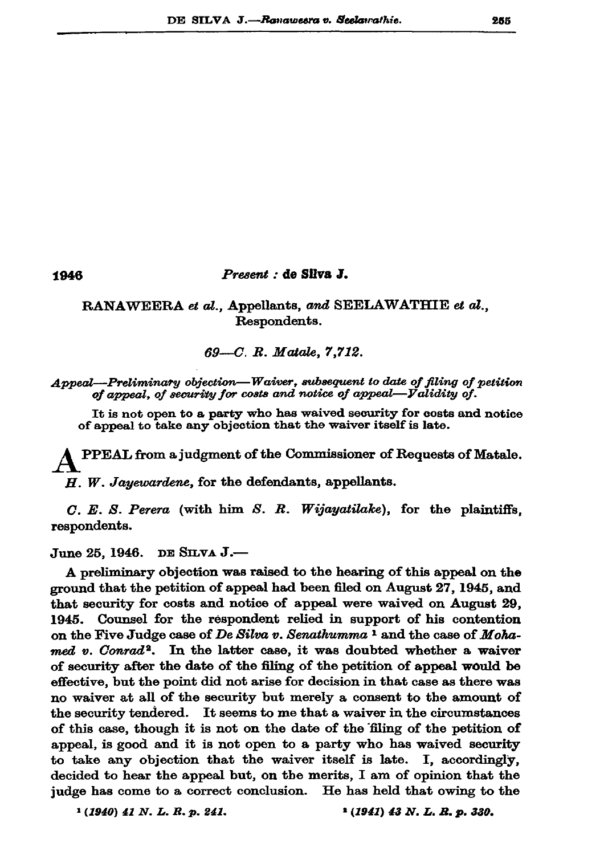## 1946

## Present : de Silva J.

RANAWEERA et al., Appellants, and SEELAWATHIE et al., Respondents.

 $69 - C$ . R. Matale, 7,712.

Appeal—Preliminary objection—Waiver, subsequent to date of filing of petition of appeal, of security for costs and notice of appeal-Validity of.

It is not open to a party who has waived security for costs and notice of appeal to take any objection that the waiver itself is late.

PPEAL from a judgment of the Commissioner of Requests of Matale.

 $H.$  W. Jayewardene, for the defendants, appellants.

 $C. E. S. Perera$  (with him S. R. Wijayatilake), for the plaintiffs. respondents.

June 25, 1946. DE SILVA  $J$ .—

A preliminary objection was raised to the hearing of this appeal on the ground that the petition of appeal had been filed on August 27, 1945, and that security for costs and notice of appeal were waived on August 29, Counsel for the respondent relied in support of his contention 1945. on the Five Judge case of De Silva v. Senathumma<sup>1</sup> and the case of Mohamed v. Conrad<sup>2</sup>. In the latter case, it was doubted whether a waiver of security after the date of the filing of the petition of appeal would be effective, but the point did not arise for decision in that case as there was no waiver at all of the security but merely a consent to the amount of the security tendered. It seems to me that a waiver in the circumstances of this case, though it is not on the date of the filing of the petition of appeal, is good and it is not open to a party who has waived security to take any objection that the waiver itself is late. I, accordingly, decided to hear the appeal but, on the merits, I am of opinion that the judge has come to a correct conclusion. He has held that owing to the

 $(1940)$  41 N. L. R. p. 241.

<sup>2</sup> (1941) 43 N. L. R. p. 330.